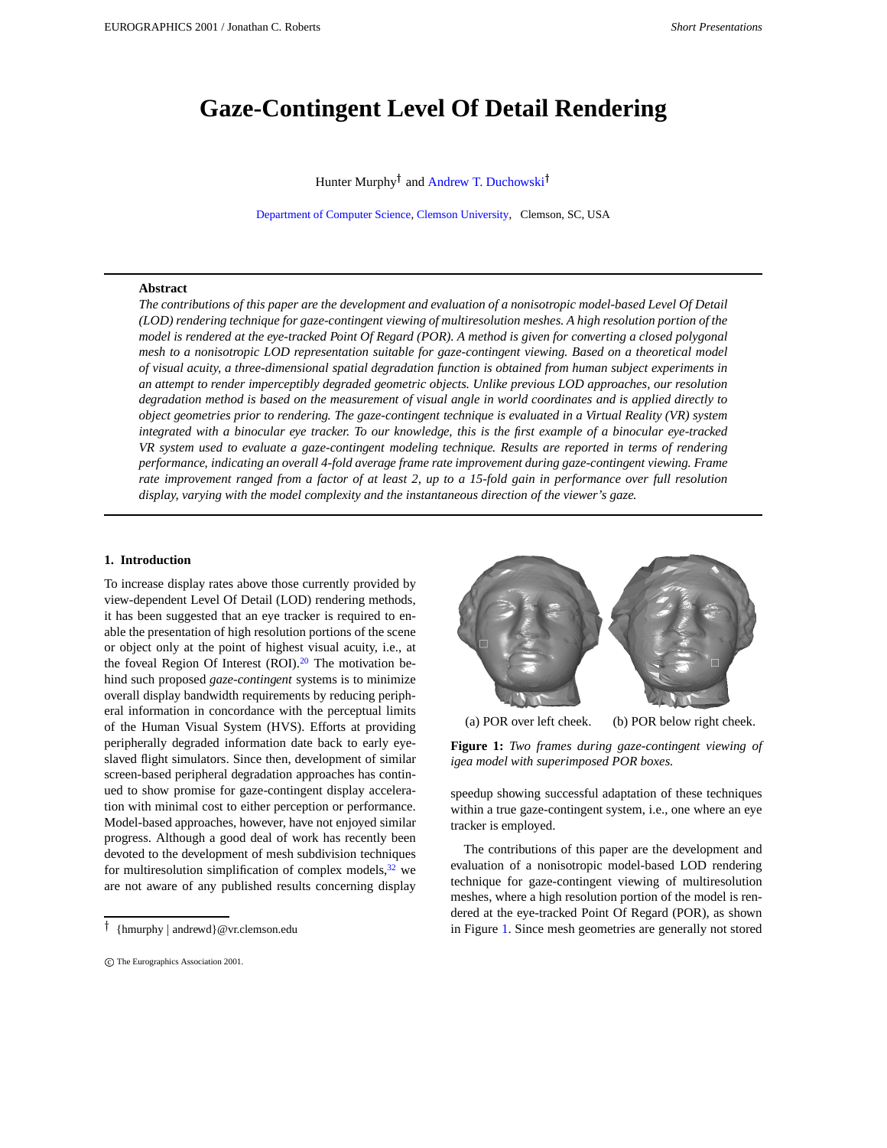# <span id="page-0-1"></span>**Gaze-Contingent Level Of Detail Rendering**

Hunter Murphy<sup>†</sup> and Andrew T. [Duchowski](http://www.vr.clemson.edu/~andrewd/)<sup>†</sup>

[Department](http://www.cs.clemson.edu) of Computer Science, Clemson [University,](http://www.clemson.edu) Clemson, SC, USA

# **Abstract**

The contributions of this paper are the development and evaluation of a nonisotropic model-based Level Of Detail *(LOD) rendering technique for gaze-contingent viewing of multiresolution meshes. A high resolution portion of the* model is rendered at the eye-tracked Point Of Regard (POR). A method is given for converting a closed polygonal *mesh to a nonisotropic LOD representation suitable for gaze-contingent viewing. Based on a theoretical model of visual acuity, a three-dimensional spatial degradation function is obtained from human subject experiments in an attempt to render imperceptibly degraded geometric objects. Unlike previous LOD approaches, our resolution* degradation method is based on the measurement of visual angle in world coordinates and is applied directly to object geometries prior to rendering. The gaze-contingent technique is evaluated in a Virtual Reality (VR) system integrated with a binocular eye tracker. To our knowledge, this is the first example of a binocular eye-tracked *VR system used to evaluate a gaze-contingent modeling technique. Results are reported in terms of rendering performance, indicating an overall 4-fold average frame rate improvement during gaze-contingent viewing. Frame* rate improvement ranged from a factor of at least 2, up to a 15-fold gain in performance over full resolution *display, varying with the model complexity and the instantaneous direction of the viewer's gaze.*

# **1. Introduction**

To increase display rates above those currently provided by view-dependent Level Of Detail (LOD) rendering methods, it has been suggested that an eye tracker is required to enable the presentation of high resolution portions of the scene or object only at the point of highest visual acuity, i.e., at the foveal Region Of Interest (ROI).<sup>[20](#page-9-1)</sup> The motivation behind such proposed *gaze-contingent* systems is to minimize overall display bandwidth requirements by reducing peripheral information in concordance with the perceptual limits of the Human Visual System (HVS). Efforts at providing peripherally degraded information date back to early eyeslaved flight simulators. Since then, development of similar screen-based peripheral degradation approaches has continued to show promise for gaze-contingent display acceleration with minimal cost to either perception or performance. Model-based approaches, however, have not enjoyed similar progress. Although a good deal of work has recently been devoted to the development of mesh subdivision techniques for multiresolution simplification of complex models, $32$  we are not aware of any published results concerning display

c The Eurographics Association 2001.



(a) POR over left cheek. (b) POR below right cheek.

<span id="page-0-0"></span>**Figure 1:** *Two frames during gaze-contingent viewing of igea model with superimposed POR boxes.*

speedup showing successful adaptation of these techniques within a true gaze-contingent system, i.e., one where an eye tracker is employed.

The contributions of this paper are the development and evaluation of a nonisotropic model-based LOD rendering technique for gaze-contingent viewing of multiresolution meshes, where a high resolution portion of the model is rendered at the eye-tracked Point Of Regard (POR), as shown in Figure [1.](#page-0-0) Since mesh geometries are generally not stored

<sup>&</sup>lt;sup>†</sup> {hmurphy | andrewd}@vr.clemson.edu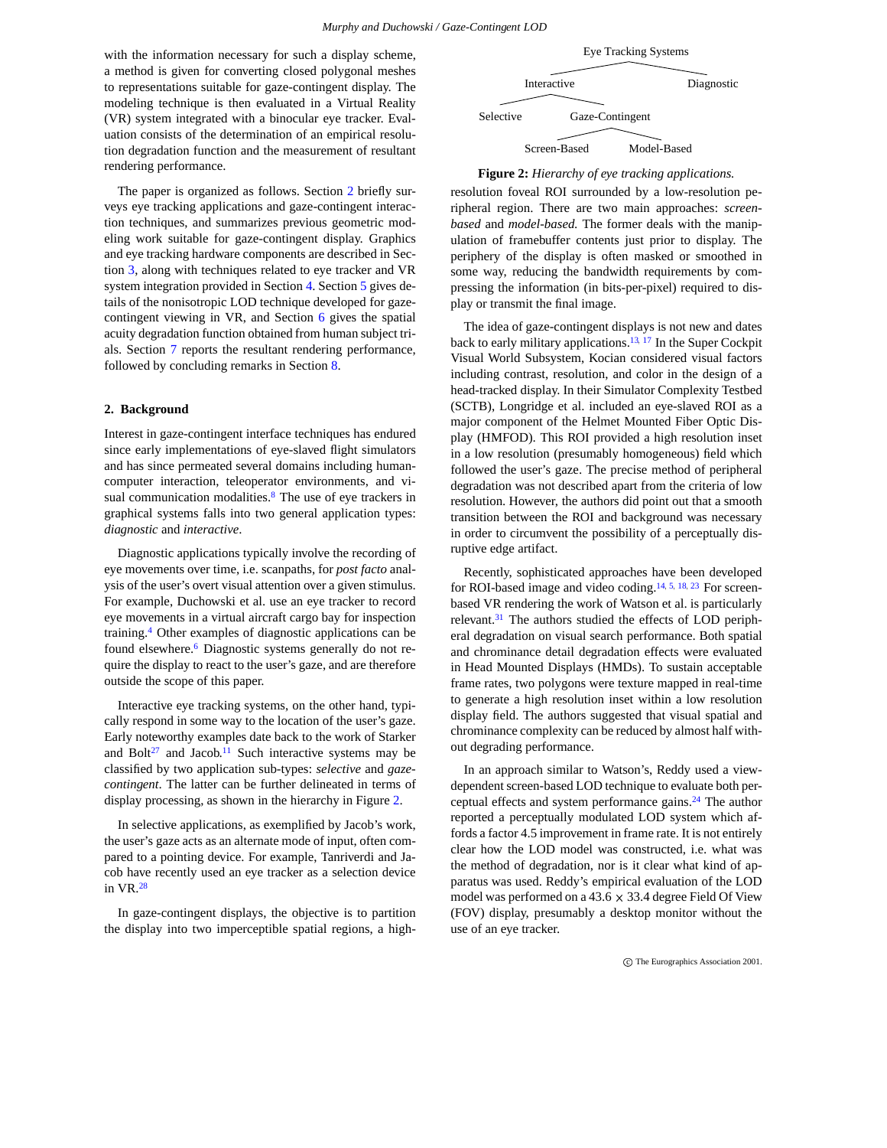<span id="page-1-2"></span>with the information necessary for such a display scheme, a method is given for converting closed polygonal meshes to representations suitable for gaze-contingent display. The modeling technique is then evaluated in a Virtual Reality (VR) system integrated with a binocular eye tracker. Evaluation consists of the determination of an empirical resolution degradation function and the measurement of resultant rendering performance.

The paper is organized as follows. Section [2](#page-1-1) briefly surveys eye tracking applications and gaze-contingent interaction techniques, and summarizes previous geometric modeling work suitable for gaze-contingent display. Graphics and eye tracking hardware components are described in Section [3,](#page-3-1) along with techniques related to eye tracker and VR system integration provided in Section [4.](#page-3-0) Section [5](#page-4-0) gives details of the nonisotropic LOD technique developed for gazecontingent viewing in VR, and Section [6](#page-6-0) gives the spatial acuity degradation function obtained from human subject trials. Section [7](#page-7-0) reports the resultant rendering performance, followed by concluding remarks in Section [8.](#page-8-5)

#### <span id="page-1-1"></span>**2. Background**

Interest in gaze-contingent interface techniques has endured since early implementations of eye-slaved flight simulators and has since permeated several domains including humancomputer interaction, teleoperator environments, and vi-sual communication modalities.<sup>[8](#page-8-4)</sup> The use of eye trackers in graphical systems falls into two general application types: *diagnostic* and *interactive*.

Diagnostic applications typically involve the recording of eye movements over time, i.e. scanpaths, for *post facto* analysis of the user's overt visual attention over a given stimulus. For example, Duchowski et al. use an eye tracker to record eye movements in a virtual aircraft cargo bay for inspection training.[4](#page-8-3) Other examples of diagnostic applications can be found elsewhere.<sup>[6](#page-8-2)</sup> Diagnostic systems generally do not require the display to react to the user's gaze, and are therefore outside the scope of this paper.

Interactive eye tracking systems, on the other hand, typically respond in some way to the location of the user's gaze. Early noteworthy examples date back to the work of Starker and Bolt<sup>[27](#page-9-10)</sup> and Jacob.<sup>[11](#page-8-1)</sup> Such interactive systems may be classified by two application sub-types: *selective* and *gazecontingent*. The latter can be further delineated in terms of display processing, as shown in the hierarchy in Figure [2.](#page-1-0)

In selective applications, as exemplified by Jacob's work, the user's gaze acts as an alternate mode of input, often compared to a pointing device. For example, Tanriverdi and Jacob have recently used an eye tracker as a selection device in VR.[28](#page-9-9)

In gaze-contingent displays, the objective is to partition the display into two imperceptible spatial regions, a high-



**Figure 2:** *Hierarchy of eye tracking applications.*

<span id="page-1-0"></span>resolution foveal ROI surrounded by a low-resolution peripheral region. There are two main approaches: *screenbased* and *model-based*. The former deals with the manipulation of framebuffer contents just prior to display. The periphery of the display is often masked or smoothed in some way, reducing the bandwidth requirements by compressing the information (in bits-per-pixel) required to display or transmit the final image.

The idea of gaze-contingent displays is not new and dates back to early military applications.<sup>[13](#page-9-8), [17](#page-9-7)</sup> In the Super Cockpit Visual World Subsystem, Kocian considered visual factors including contrast, resolution, and color in the design of a head-tracked display. In their Simulator Complexity Testbed (SCTB), Longridge et al. included an eye-slaved ROI as a major component of the Helmet Mounted Fiber Optic Display (HMFOD). This ROI provided a high resolution inset in a low resolution (presumably homogeneous) field which followed the user's gaze. The precise method of peripheral degradation was not described apart from the criteria of low resolution. However, the authors did point out that a smooth transition between the ROI and background was necessary in order to circumvent the possibility of a perceptually disruptive edge artifact.

Recently, sophisticated approaches have been developed for ROI-based image and video coding.<sup>[14](#page-9-6), [5](#page-8-0), [18](#page-9-5), [23](#page-9-4)</sup> For screenbased VR rendering the work of Watson et al. is particularly relevant.[31](#page-9-3) The authors studied the effects of LOD peripheral degradation on visual search performance. Both spatial and chrominance detail degradation effects were evaluated in Head Mounted Displays (HMDs). To sustain acceptable frame rates, two polygons were texture mapped in real-time to generate a high resolution inset within a low resolution display field. The authors suggested that visual spatial and chrominance complexity can be reduced by almost half without degrading performance.

In an approach similar to Watson's, Reddy used a viewdependent screen-based LOD technique to evaluate both perceptual effects and system performance gains.[24](#page-9-2) The author reported a perceptually modulated LOD system which affords a factor 4.5 improvement in frame rate. It is not entirely clear how the LOD model was constructed, i.e. what was the method of degradation, nor is it clear what kind of apparatus was used. Reddy's empirical evaluation of the LOD model was performed on a  $43.6 \times 33.4$  degree Field Of View (FOV) display, presumably a desktop monitor without the use of an eye tracker.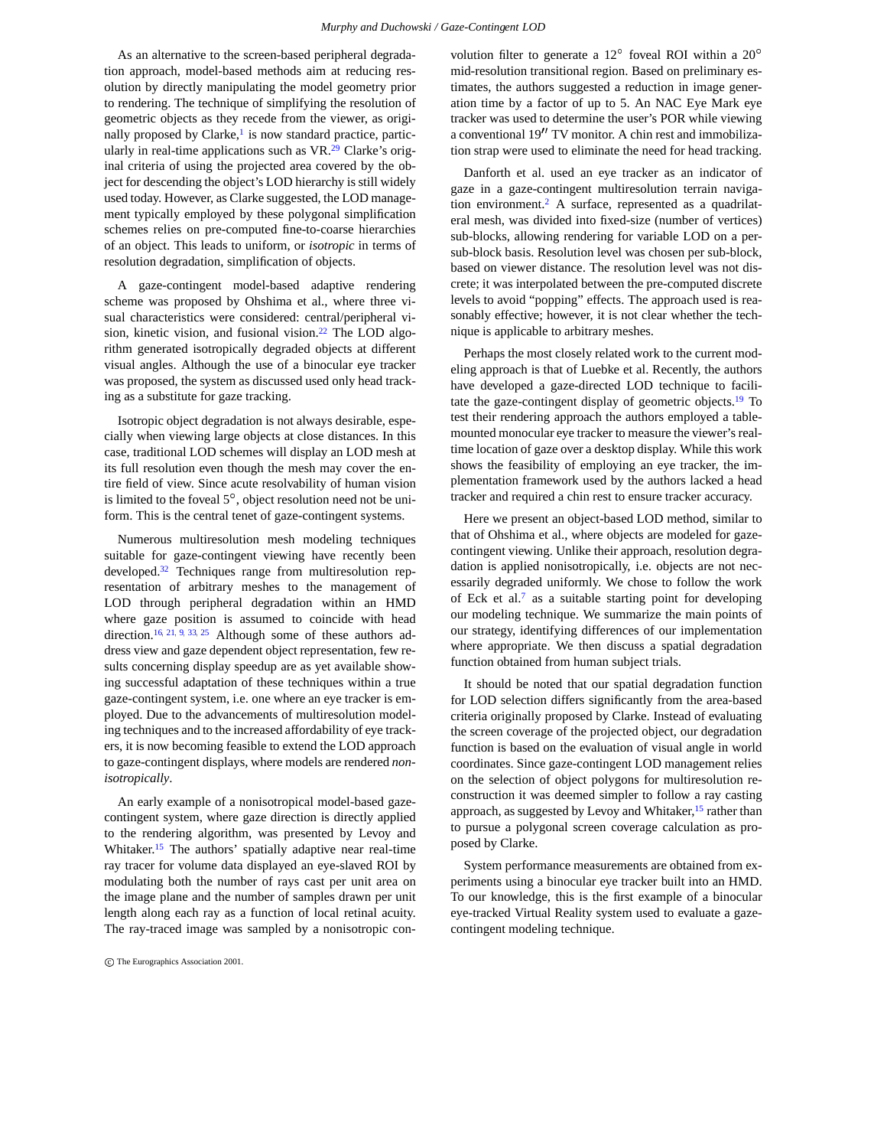<span id="page-2-0"></span>As an alternative to the screen-based peripheral degradation approach, model-based methods aim at reducing resolution by directly manipulating the model geometry prior to rendering. The technique of simplifying the resolution of geometric objects as they recede from the viewer, as origi-nally proposed by Clarke,<sup>[1](#page-8-9)</sup> is now standard practice, partic-ularly in real-time applications such as VR.<sup>[29](#page-9-18)</sup> Clarke's original criteria of using the projected area covered by the object for descending the object's LOD hierarchy is still widely used today. However, as Clarke suggested, the LOD management typically employed by these polygonal simplification schemes relies on pre-computed fine-to-coarse hierarchies of an object. This leads to uniform, or *isotropic* in terms of resolution degradation, simplification of objects.

A gaze-contingent model-based adaptive rendering scheme was proposed by Ohshima et al., where three visual characteristics were considered: central/peripheral vi-sion, kinetic vision, and fusional vision.<sup>[22](#page-9-17)</sup> The LOD algorithm generated isotropically degraded objects at different visual angles. Although the use of a binocular eye tracker was proposed, the system as discussed used only head tracking as a substitute for gaze tracking.

Isotropic object degradation is not always desirable, especially when viewing large objects at close distances. In this case, traditional LOD schemes will display an LOD mesh at its full resolution even though the mesh may cover the entire field of view. Since acute resolvability of human vision is limited to the foveal  $5^\circ$ , object resolution need not be uniform. This is the central tenet of gaze-contingent systems.

Numerous multiresolution mesh modeling techniques suitable for gaze-contingent viewing have recently been developed.[32](#page-9-0) Techniques range from multiresolution representation of arbitrary meshes to the management of LOD through peripheral degradation within an HMD where gaze position is assumed to coincide with head direction.<sup>[16](#page-9-16), [21](#page-9-15), [9](#page-8-8), [33](#page-9-14), [25](#page-9-13)</sup> Although some of these authors address view and gaze dependent object representation, few results concerning display speedup are as yet available showing successful adaptation of these techniques within a true gaze-contingent system, i.e. one where an eye tracker is employed. Due to the advancements of multiresolution modeling techniques and to the increased affordability of eye trackers, it is now becoming feasible to extend the LOD approach to gaze-contingent displays, where models are rendered *nonisotropically*.

An early example of a nonisotropical model-based gazecontingent system, where gaze direction is directly applied to the rendering algorithm, was presented by Levoy and Whitaker.<sup>[15](#page-9-11)</sup> The authors' spatially adaptive near real-time ray tracer for volume data displayed an eye-slaved ROI by modulating both the number of rays cast per unit area on the image plane and the number of samples drawn per unit length along each ray as a function of local retinal acuity. The ray-traced image was sampled by a nonisotropic con-

c The Eurographics Association 2001.

volution filter to generate a  $12^{\circ}$  foveal ROI within a  $20^{\circ}$ mid-resolution transitional region. Based on preliminary estimates, the authors suggested a reduction in image generation time by a factor of up to 5. An NAC Eye Mark eye tracker was used to determine the user's POR while viewing a conventional  $19''$  TV monitor. A chin rest and immobilization strap were used to eliminate the need for head tracking.

Danforth et al. used an eye tracker as an indicator of gaze in a gaze-contingent multiresolution terrain navigation environment.[2](#page-8-7) A surface, represented as a quadrilateral mesh, was divided into fixed-size (number of vertices) sub-blocks, allowing rendering for variable LOD on a persub-block basis. Resolution level was chosen per sub-block, based on viewer distance. The resolution level was not discrete; it was interpolated between the pre-computed discrete levels to avoid "popping" effects. The approach used is reasonably effective; however, it is not clear whether the technique is applicable to arbitrary meshes.

Perhaps the most closely related work to the current modeling approach is that of Luebke et al. Recently, the authors have developed a gaze-directed LOD technique to facilitate the gaze-contingent display of geometric objects.[19](#page-9-12) To test their rendering approach the authors employed a tablemounted monocular eye tracker to measure the viewer's realtime location of gaze over a desktop display. While this work shows the feasibility of employing an eye tracker, the implementation framework used by the authors lacked a head tracker and required a chin rest to ensure tracker accuracy.

Here we present an object-based LOD method, similar to that of Ohshima et al., where objects are modeled for gazecontingent viewing. Unlike their approach, resolution degradation is applied nonisotropically, i.e. objects are not necessarily degraded uniformly. We chose to follow the work of Eck et al.[7](#page-8-6) as a suitable starting point for developing our modeling technique. We summarize the main points of our strategy, identifying differences of our implementation where appropriate. We then discuss a spatial degradation function obtained from human subject trials.

It should be noted that our spatial degradation function for LOD selection differs significantly from the area-based criteria originally proposed by Clarke. Instead of evaluating the screen coverage of the projected object, our degradation function is based on the evaluation of visual angle in world coordinates. Since gaze-contingent LOD management relies on the selection of object polygons for multiresolution reconstruction it was deemed simpler to follow a ray casting approach, as suggested by Levoy and Whitaker,<sup>[15](#page-9-11)</sup> rather than to pursue a polygonal screen coverage calculation as proposed by Clarke.

System performance measurements are obtained from experiments using a binocular eye tracker built into an HMD. To our knowledge, this is the first example of a binocular eye-tracked Virtual Reality system used to evaluate a gazecontingent modeling technique.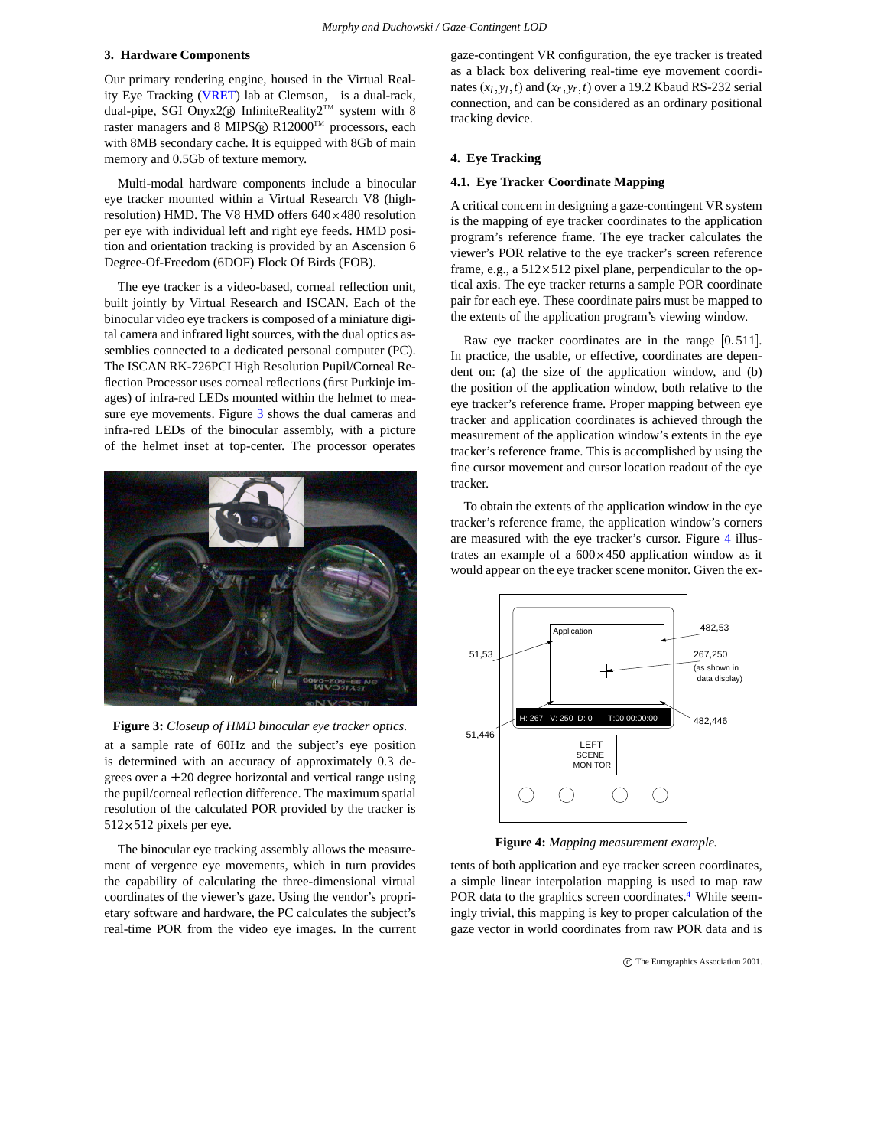## <span id="page-3-1"></span>**3. Hardware Components**

Our primary rendering engine, housed in the Virtual Reality Eye Tracking [\(VRET\)](http://www.vr.clemson.edu/eyetracking/) lab at Clemson, is a dual-rack, dual-pipe, SGI Onyx2® InfiniteReality2™ system with 8 raster managers and 8 MIPS $\circledR$  R12000<sup>TM</sup> processors, each with 8MB secondary cache. It is equipped with 8Gb of main memory and 0.5Gb of texture memory.

Multi-modal hardware components include a binocular eye tracker mounted within a Virtual Research V8 (highresolution) HMD. The V8 HMD offers 640×480 resolution per eye with individual left and right eye feeds. HMD position and orientation tracking is provided by an Ascension 6 Degree-Of-Freedom (6DOF) Flock Of Birds (FOB).

The eye tracker is a video-based, corneal reflection unit, built jointly by Virtual Research and ISCAN. Each of the binocular video eye trackers is composed of a miniature digital camera and infrared light sources, with the dual optics assemblies connected to a dedicated personal computer (PC). The ISCAN RK-726PCI High Resolution Pupil/Corneal Reflection Processor uses corneal reflections (first Purkinje images) of infra-red LEDs mounted within the helmet to measure eye movements. Figure [3](#page-3-3) shows the dual cameras and infra-red LEDs of the binocular assembly, with a picture of the helmet inset at top-center. The processor operates



**Figure 3:** *Closeup of HMD binocular eye tracker optics.*

<span id="page-3-3"></span>at a sample rate of 60Hz and the subject's eye position is determined with an accuracy of approximately 0.3 degrees over a  $\pm 20$  degree horizontal and vertical range using the pupil/corneal reflection difference. The maximum spatial resolution of the calculated POR provided by the tracker is  $512 \times 512$  pixels per eye.

The binocular eye tracking assembly allows the measurement of vergence eye movements, which in turn provides the capability of calculating the three-dimensional virtual coordinates of the viewer's gaze. Using the vendor's proprietary software and hardware, the PC calculates the subject's real-time POR from the video eye images. In the current gaze-contingent VR configuration, the eye tracker is treated as a black box delivering real-time eye movement coordinates  $(x_l, y_l, t)$  and  $(x_r, y_r, t)$  over a 19.2 Kbaud RS-232 serial connection, and can be considered as an ordinary positional tracking device.

# <span id="page-3-0"></span>**4. Eye Tracking**

## **4.1. Eye Tracker Coordinate Mapping**

A critical concern in designing a gaze-contingent VR system is the mapping of eye tracker coordinates to the application program's reference frame. The eye tracker calculates the viewer's POR relative to the eye tracker's screen reference frame, e.g., a  $512 \times 512$  pixel plane, perpendicular to the optical axis. The eye tracker returns a sample POR coordinate pair for each eye. These coordinate pairs must be mapped to the extents of the application program's viewing window.

Raw eye tracker coordinates are in the range  $[0, 511]$ . In practice, the usable, or effective, coordinates are dependent on: (a) the size of the application window, and (b) the position of the application window, both relative to the eye tracker's reference frame. Proper mapping between eye tracker and application coordinates is achieved through the measurement of the application window's extents in the eye tracker's reference frame. This is accomplished by using the fine cursor movement and cursor location readout of the eye tracker.

To obtain the extents of the application window in the eye tracker's reference frame, the application window's corners are measured with the eye tracker's cursor. Figure [4](#page-3-2) illustrates an example of a  $600 \times 450$  application window as it would appear on the eye tracker scene monitor. Given the ex-



**Figure 4:** *Mapping measurement example.*

<span id="page-3-2"></span>tents of both application and eye tracker screen coordinates, a simple linear interpolation mapping is used to map raw POR data to the graphics screen coordinates.<sup>[4](#page-8-3)</sup> While seemingly trivial, this mapping is key to proper calculation of the gaze vector in world coordinates from raw POR data and is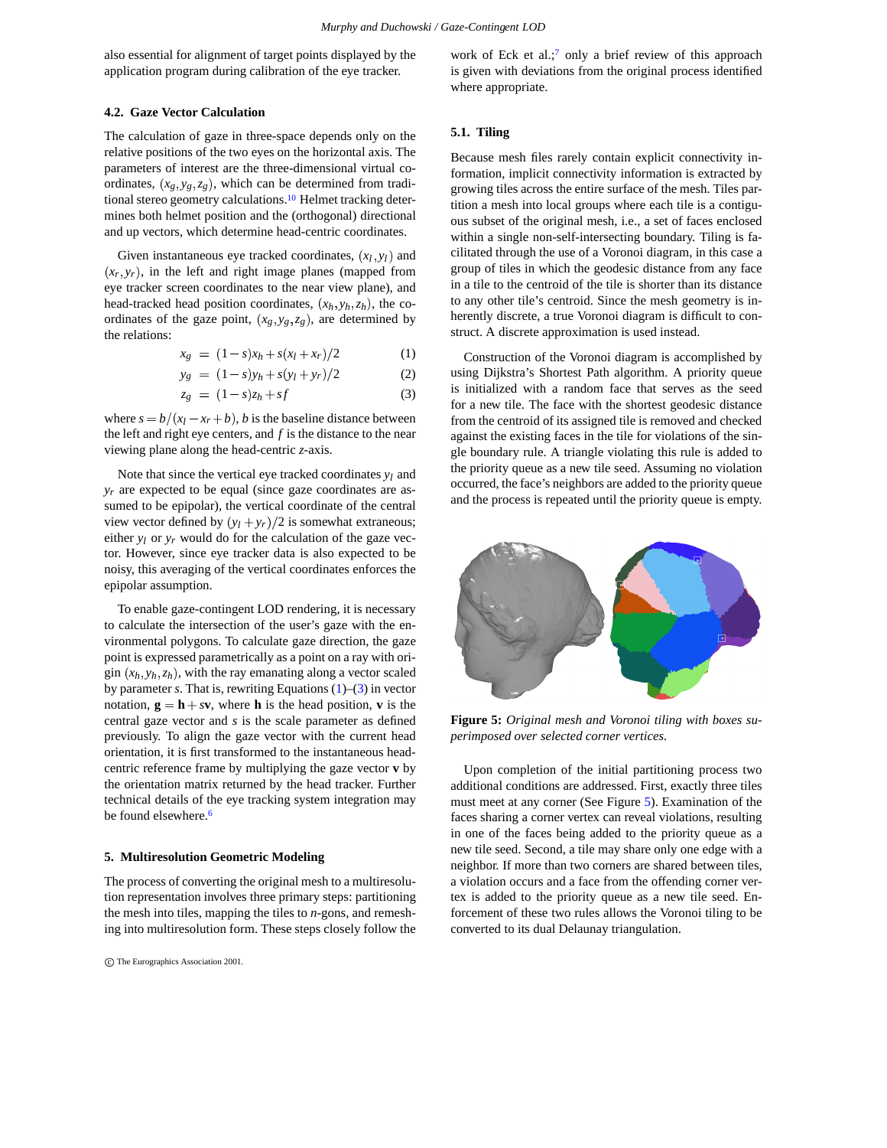<span id="page-4-3"></span>also essential for alignment of target points displayed by the application program during calibration of the eye tracker.

## **4.2. Gaze Vector Calculation**

The calculation of gaze in three-space depends only on the relative positions of the two eyes on the horizontal axis. The parameters of interest are the three-dimensional virtual coordinates,  $(x_g, y_g, z_g)$ , which can be determined from tradi-tional stereo geometry calculations.<sup>[10](#page-8-10)</sup> Helmet tracking determines both helmet position and the (orthogonal) directional and up vectors, which determine head-centric coordinates.

Given instantaneous eye tracked coordinates,  $(x_l, y_l)$  and  $(x_r, y_r)$ , in the left and right image planes (mapped from eye tracker screen coordinates to the near view plane), and head-tracked head position coordinates,  $(x_h, y_h, z_h)$ , the coordinates of the gaze point,  $(x_g, y_g, z_g)$ , are determined by the relations:

$$
x_g = (1 - s)x_h + s(x_l + x_r)/2 \tag{1}
$$

$$
y_g = (1 - s)y_h + s(y_l + y_r)/2 \tag{2}
$$

$$
z_g = (1 - s)z_h + sf \tag{3}
$$

<span id="page-4-2"></span>where  $s = b/(x_l - x_r + b)$ , *b* is the baseline distance between the left and right eye centers, and *f* is the distance to the near viewing plane along the head-centric *z*-axis.

Note that since the vertical eye tracked coordinates  $y_l$  and  $y_r$  are expected to be equal (since gaze coordinates are assumed to be epipolar), the vertical coordinate of the central view vector defined by  $(y_l + y_r)/2$  is somewhat extraneous; either  $y_l$  or  $y_r$  would do for the calculation of the gaze vector. However, since eye tracker data is also expected to be noisy, this averaging of the vertical coordinates enforces the epipolar assumption.

To enable gaze-contingent LOD rendering, it is necessary to calculate the intersection of the user's gaze with the environmental polygons. To calculate gaze direction, the gaze point is expressed parametrically as a point on a ray with origin  $(x_h, y_h, z_h)$ , with the ray emanating along a vector scaled by parameter *s*. That is, rewriting Equations  $(1)$ – $(3)$  in vector notation,  $\mathbf{g} = \mathbf{h} + s\mathbf{v}$ , where **h** is the head position, **v** is the central gaze vector and *s* is the scale parameter as defined previously. To align the gaze vector with the current head orientation, it is first transformed to the instantaneous headcentric reference frame by multiplying the gaze vector **v** by the orientation matrix returned by the head tracker. Further technical details of the eye tracking system integration may be found elsewhere.<sup>[6](#page-8-2)</sup>

#### <span id="page-4-0"></span>**5. Multiresolution Geometric Modeling**

The process of converting the original mesh to a multiresolution representation involves three primary steps: partitioning the mesh into tiles, mapping the tiles to *n*-gons, and remeshing into multiresolution form. These steps closely follow the

c The Eurographics Association 2001.

work of Eck et al.;<sup>[7](#page-8-6)</sup> only a brief review of this approach is given with deviations from the original process identified where appropriate.

# **5.1. Tiling**

Because mesh files rarely contain explicit connectivity information, implicit connectivity information is extracted by growing tiles across the entire surface of the mesh. Tiles partition a mesh into local groups where each tile is a contiguous subset of the original mesh, i.e., a set of faces enclosed within a single non-self-intersecting boundary. Tiling is facilitated through the use of a Voronoi diagram, in this case a group of tiles in which the geodesic distance from any face in a tile to the centroid of the tile is shorter than its distance to any other tile's centroid. Since the mesh geometry is inherently discrete, a true Voronoi diagram is difficult to construct. A discrete approximation is used instead.

Construction of the Voronoi diagram is accomplished by using Dijkstra's Shortest Path algorithm. A priority queue is initialized with a random face that serves as the seed for a new tile. The face with the shortest geodesic distance from the centroid of its assigned tile is removed and checked against the existing faces in the tile for violations of the single boundary rule. A triangle violating this rule is added to the priority queue as a new tile seed. Assuming no violation occurred, the face's neighbors are added to the priority queue and the process is repeated until the priority queue is empty.



**Figure 5:** *Original mesh and Voronoi tiling with boxes superimposed over selected corner vertices.*

<span id="page-4-1"></span>Upon completion of the initial partitioning process two additional conditions are addressed. First, exactly three tiles must meet at any corner (See Figure [5\)](#page-4-1). Examination of the faces sharing a corner vertex can reveal violations, resulting in one of the faces being added to the priority queue as a new tile seed. Second, a tile may share only one edge with a neighbor. If more than two corners are shared between tiles, a violation occurs and a face from the offending corner vertex is added to the priority queue as a new tile seed. Enforcement of these two rules allows the Voronoi tiling to be converted to its dual Delaunay triangulation.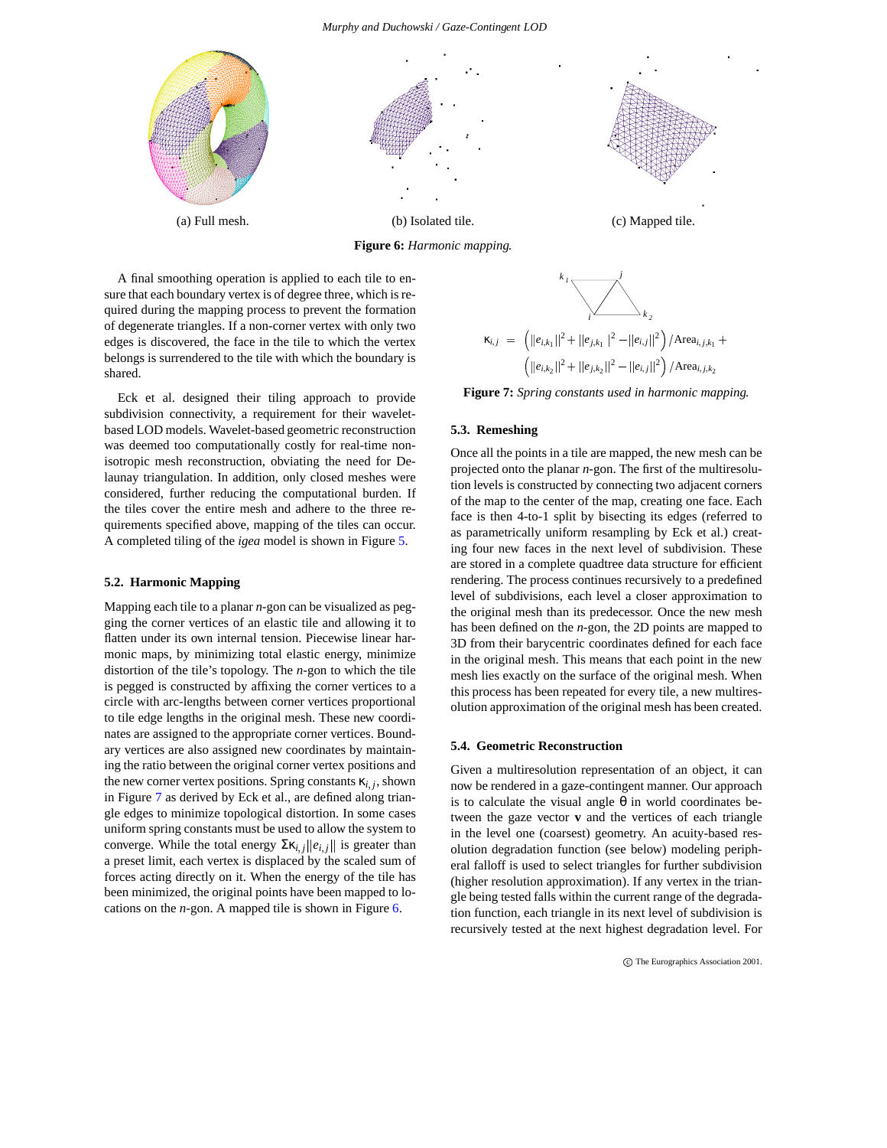

A final smoothing operation is applied to each tile to ensure that each boundary vertex is of degree three, which is required during the mapping process to prevent the formation of degenerate triangles. If a non-corner vertex with only two edges is discovered, the face in the tile to which the vertex belongs is surrendered to the tile with which the boundary is shared.

Eck et al. designed their tiling approach to provide subdivision connectivity, a requirement for their waveletbased LOD models. Wavelet-based geometric reconstruction was deemed too computationally costly for real-time nonisotropic mesh reconstruction, obviating the need for Delaunay triangulation. In addition, only closed meshes were considered, further reducing the computational burden. If the tiles cover the entire mesh and adhere to the three requirements specified above, mapping of the tiles can occur. A completed tiling of the *igea* model is shown in Figure [5.](#page-4-1)

## **5.2. Harmonic Mapping**

Mapping each tile to a planar *n*-gon can be visualized as pegging the corner vertices of an elastic tile and allowing it to flatten under its own internal tension. Piecewise linear harmonic maps, by minimizing total elastic energy, minimize distortion of the tile's topology. The *n*-gon to which the tile is pegged is constructed by affixing the corner vertices to a circle with arc-lengths between corner vertices proportional to tile edge lengths in the original mesh. These new coordinates are assigned to the appropriate corner vertices. Boundary vertices are also assigned new coordinates by maintaining the ratio between the original corner vertex positions and the new corner vertex positions. Spring constants  $\kappa_{i,j}$ , shown in Figure [7](#page-5-1) as derived by Eck et al., are defined along triangle edges to minimize topological distortion. In some cases uniform spring constants must be used to allow the system to converge. While the total energy  $\sum \kappa_{i,j} ||e_{i,j}||$  is greater than a preset limit, each vertex is displaced by the scaled sum of forces acting directly on it. When the energy of the tile has been minimized, the original points have been mapped to locations on the *n*-gon. A mapped tile is shown in Figure [6.](#page-5-0)

<span id="page-5-0"></span>

**Figure 7:** *Spring constants used in harmonic mapping.*

#### <span id="page-5-1"></span>**5.3. Remeshing**

Once all the points in a tile are mapped, the new mesh can be projected onto the planar *n*-gon. The first of the multiresolution levels is constructed by connecting two adjacent corners of the map to the center of the map, creating one face. Each face is then 4-to-1 split by bisecting its edges (referred to as parametrically uniform resampling by Eck et al.) creating four new faces in the next level of subdivision. These are stored in a complete quadtree data structure for efficient rendering. The process continues recursively to a predefined level of subdivisions, each level a closer approximation to the original mesh than its predecessor. Once the new mesh has been defined on the *n*-gon, the 2D points are mapped to 3D from their barycentric coordinates defined for each face in the original mesh. This means that each point in the new mesh lies exactly on the surface of the original mesh. When this process has been repeated for every tile, a new multiresolution approximation of the original mesh has been created.

#### **5.4. Geometric Reconstruction**

Given a multiresolution representation of an object, it can now be rendered in a gaze-contingent manner. Our approach is to calculate the visual angle θ in world coordinates between the gaze vector **v** and the vertices of each triangle in the level one (coarsest) geometry. An acuity-based resolution degradation function (see below) modeling peripheral falloff is used to select triangles for further subdivision (higher resolution approximation). If any vertex in the triangle being tested falls within the current range of the degradation function, each triangle in its next level of subdivision is recursively tested at the next highest degradation level. For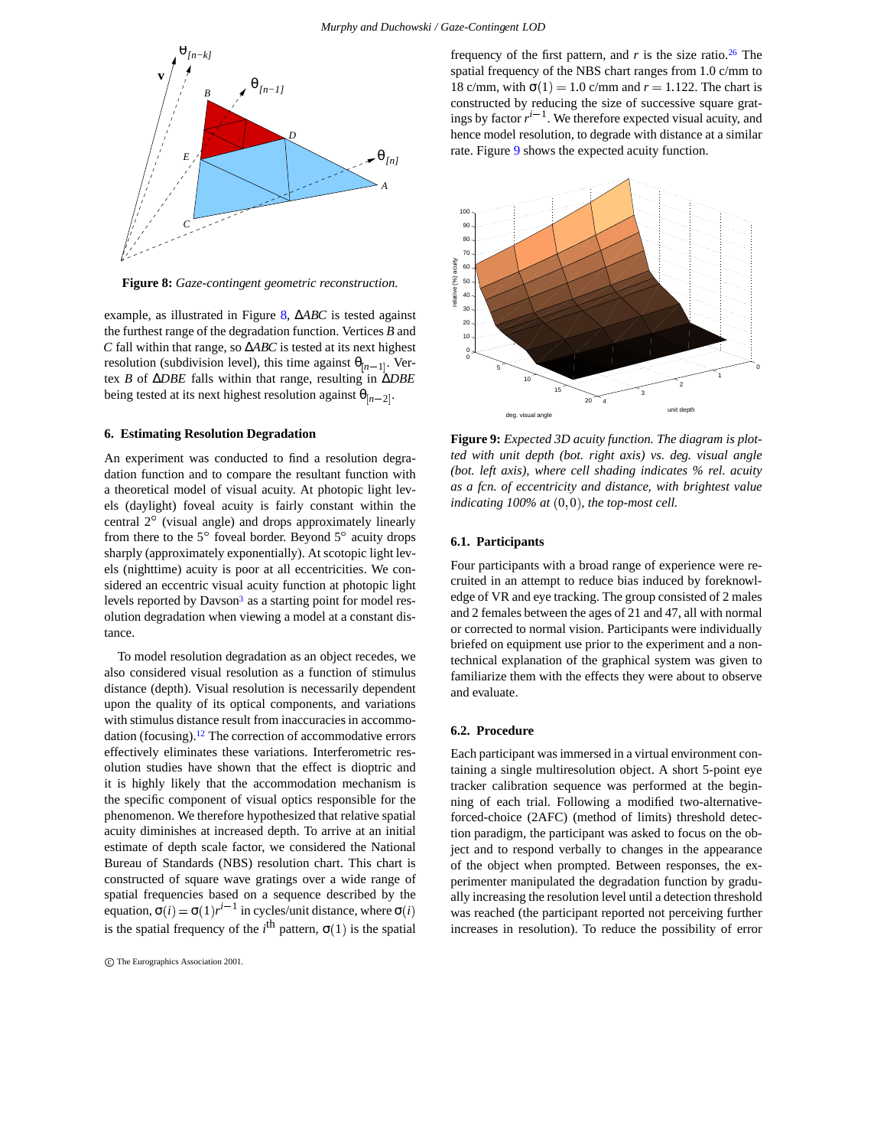<span id="page-6-3"></span>

**Figure 8:** *Gaze-contingent geometric reconstruction.*

<span id="page-6-2"></span>example, as illustrated in Figure [8,](#page-6-2) ∆*ABC* is tested against the furthest range of the degradation function. Vertices *B* and *C* fall within that range, so ∆*ABC* is tested at its next highest resolution (subdivision level), this time against  $\theta_{[n-1]}$ . Vertex *B* of ∆*DBE* falls within that range, resulting in ∆*DBE* being tested at its next highest resolution against  $\theta_{n-2}$ .

## <span id="page-6-0"></span>**6. Estimating Resolution Degradation**

An experiment was conducted to find a resolution degradation function and to compare the resultant function with a theoretical model of visual acuity. At photopic light levels (daylight) foveal acuity is fairly constant within the central  $2^{\circ}$  (visual angle) and drops approximately linearly from there to the  $5^\circ$  foveal border. Beyond  $5^\circ$  acuity drops sharply (approximately exponentially). At scotopic light levels (nighttime) acuity is poor at all eccentricities. We considered an eccentric visual acuity function at photopic light levels reported by Davson<sup>[3](#page-8-11)</sup> as a starting point for model resolution degradation when viewing a model at a constant distance.

To model resolution degradation as an object recedes, we also considered visual resolution as a function of stimulus distance (depth). Visual resolution is necessarily dependent upon the quality of its optical components, and variations with stimulus distance result from inaccuracies in accommo-dation (focusing).<sup>[12](#page-9-20)</sup> The correction of accommodative errors effectively eliminates these variations. Interferometric resolution studies have shown that the effect is dioptric and it is highly likely that the accommodation mechanism is the specific component of visual optics responsible for the phenomenon. We therefore hypothesized that relative spatial acuity diminishes at increased depth. To arrive at an initial estimate of depth scale factor, we considered the National Bureau of Standards (NBS) resolution chart. This chart is constructed of square wave gratings over a wide range of spatial frequencies based on a sequence described by the equation,  $\sigma(i) = \sigma(1)r^{i-1}$  in cycles/unit distance, where  $\sigma(i)$ is the spatial frequency of the  $i^{\text{th}}$  pattern,  $\sigma(1)$  is the spatial

frequency of the first pattern, and  $r$  is the size ratio.<sup>[26](#page-9-19)</sup> The spatial frequency of the NBS chart ranges from 1.0 c/mm to 18 c/mm, with  $\sigma(1) = 1.0$  c/mm and  $r = 1.122$ . The chart is constructed by reducing the size of successive square gratings by factor  $r^{i-1}$ . We therefore expected visual acuity, and hence model resolution, to degrade with distance at a similar rate. Figure [9](#page-6-1) shows the expected acuity function.



<span id="page-6-1"></span>**Figure 9:** *Expected 3D acuity function. The diagram is plotted with unit depth (bot. right axis) vs. deg. visual angle (bot. left axis), where cell shading indicates % rel. acuity as a fcn. of eccentricity and distance, with brightest value*  $indicating 100%$  at  $(0,0)$ , the *top-most* cell.

# **6.1. Participants**

Four participants with a broad range of experience were recruited in an attempt to reduce bias induced by foreknowledge of VR and eye tracking. The group consisted of 2 males and 2 females between the ages of 21 and 47, all with normal or corrected to normal vision. Participants were individually briefed on equipment use prior to the experiment and a nontechnical explanation of the graphical system was given to familiarize them with the effects they were about to observe and evaluate.

## **6.2. Procedure**

Each participant was immersed in a virtual environment containing a single multiresolution object. A short 5-point eye tracker calibration sequence was performed at the beginning of each trial. Following a modified two-alternativeforced-choice (2AFC) (method of limits) threshold detection paradigm, the participant was asked to focus on the object and to respond verbally to changes in the appearance of the object when prompted. Between responses, the experimenter manipulated the degradation function by gradually increasing the resolution level until a detection threshold was reached (the participant reported not perceiving further increases in resolution). To reduce the possibility of error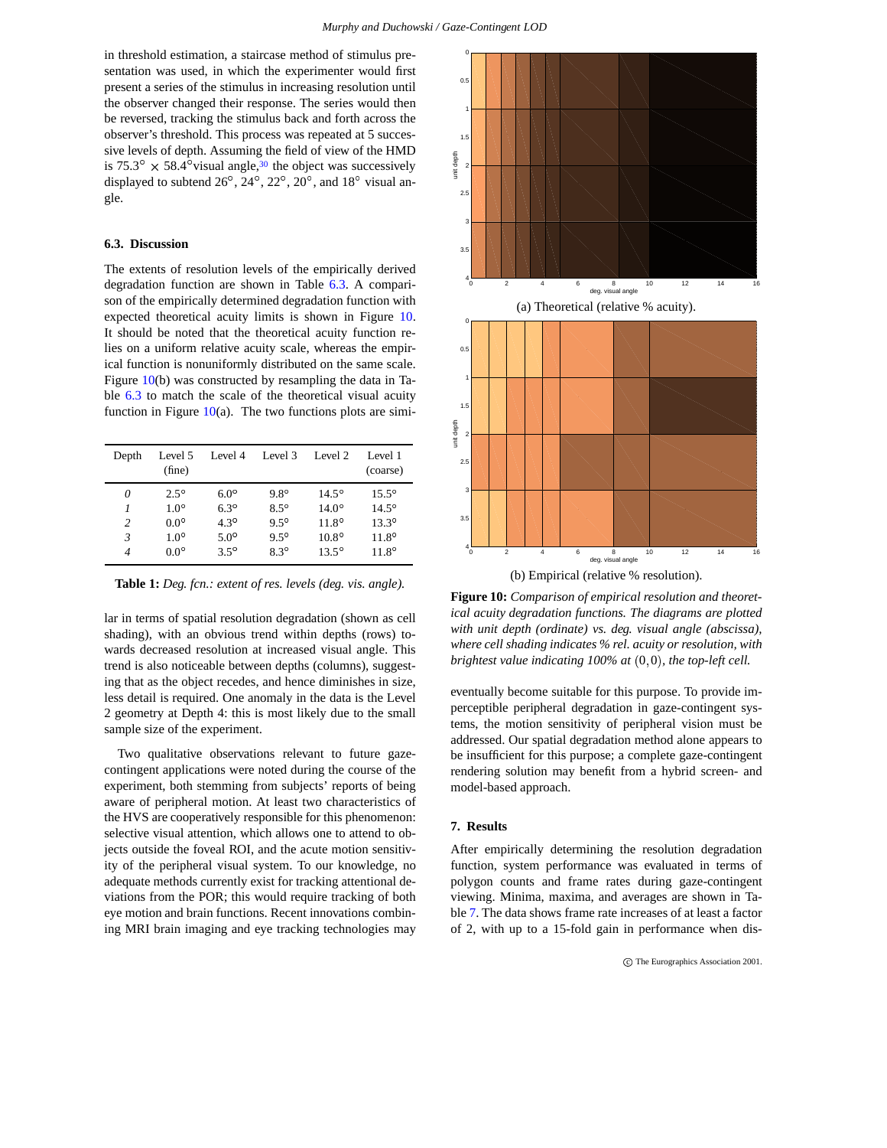<span id="page-7-3"></span>in threshold estimation, a staircase method of stimulus presentation was used, in which the experimenter would first present a series of the stimulus in increasing resolution until the observer changed their response. The series would then be reversed, tracking the stimulus back and forth across the observer's threshold. This process was repeated at 5 successive levels of depth. Assuming the field of view of the HMD is 75.3°  $\times$  58.4° visual angle,<sup>[30](#page-9-21)</sup> the object was successively displayed to subtend  $26^\circ$ ,  $24^\circ$ ,  $22^\circ$ ,  $20^\circ$ , and  $18^\circ$  visual angle.

#### <span id="page-7-2"></span>**6.3. Discussion**

The extents of resolution levels of the empirically derived degradation function are shown in Table [6.3.](#page-7-2) A comparison of the empirically determined degradation function with expected theoretical acuity limits is shown in Figure [10.](#page-7-1) It should be noted that the theoretical acuity function relies on a uniform relative acuity scale, whereas the empirical function is nonuniformly distributed on the same scale. Figure [10\(](#page-7-1)b) was constructed by resampling the data in Table [6.3](#page-7-2) to match the scale of the theoretical visual acuity function in Figure  $10(a)$  $10(a)$ . The two functions plots are simi-

| Depth          | Level 5<br>(fine) | Level 4       | Level 3       | Level 2        | Level 1<br>(coarse) |
|----------------|-------------------|---------------|---------------|----------------|---------------------|
| 0              | $2.5^{\circ}$     | $6.0^\circ$   | $9.8^{\circ}$ | $14.5^{\circ}$ | $15.5^{\circ}$      |
|                | $1.0^\circ$       | $6.3^{\circ}$ | $8.5^{\circ}$ | $14.0^{\circ}$ | $14.5^{\circ}$      |
| $\overline{c}$ | $0.0^\circ$       | $4.3^{\circ}$ | $9.5^{\circ}$ | $11.8^{\circ}$ | $13.3^{\circ}$      |
| 3              | $1.0^\circ$       | $5.0^\circ$   | $9.5^{\circ}$ | $10.8^{\circ}$ | $11.8^{\circ}$      |
| 4              | $0.0^\circ$       | $3.5^{\circ}$ | $8.3^{\circ}$ | $13.5^{\circ}$ | $11.8^{\circ}$      |

**Table 1:** *Deg. fcn.: extent of res. levels (deg. vis. angle).*

lar in terms of spatial resolution degradation (shown as cell shading), with an obvious trend within depths (rows) towards decreased resolution at increased visual angle. This trend is also noticeable between depths (columns), suggesting that as the object recedes, and hence diminishes in size, less detail is required. One anomaly in the data is the Level 2 geometry at Depth 4: this is most likely due to the small sample size of the experiment.

Two qualitative observations relevant to future gazecontingent applications were noted during the course of the experiment, both stemming from subjects' reports of being aware of peripheral motion. At least two characteristics of the HVS are cooperatively responsible for this phenomenon: selective visual attention, which allows one to attend to objects outside the foveal ROI, and the acute motion sensitivity of the peripheral visual system. To our knowledge, no adequate methods currently exist for tracking attentional deviations from the POR; this would require tracking of both eye motion and brain functions. Recent innovations combining MRI brain imaging and eye tracking technologies may



<span id="page-7-1"></span>**Figure 10:** *Comparison of empirical resolution and theoretical acuity degradation functions. The diagrams are plotted with unit depth (ordinate) vs. deg. visual angle (abscissa), where cell shading indicates % rel. acuity or resolution, with brightest value indicating 100% at* 0 0 *,the top-left cell.*

eventually become suitable for this purpose. To provide imperceptible peripheral degradation in gaze-contingent systems, the motion sensitivity of peripheral vision must be addressed. Our spatial degradation method alone appears to be insufficient for this purpose; a complete gaze-contingent rendering solution may benefit from a hybrid screen- and model-based approach.

#### <span id="page-7-0"></span>**7. Results**

After empirically determining the resolution degradation function, system performance was evaluated in terms of polygon counts and frame rates during gaze-contingent viewing. Minima, maxima, and averages are shown in Table [7.](#page-7-0) The data shows frame rate increases of at least a factor of 2, with up to a 15-fold gain in performance when dis-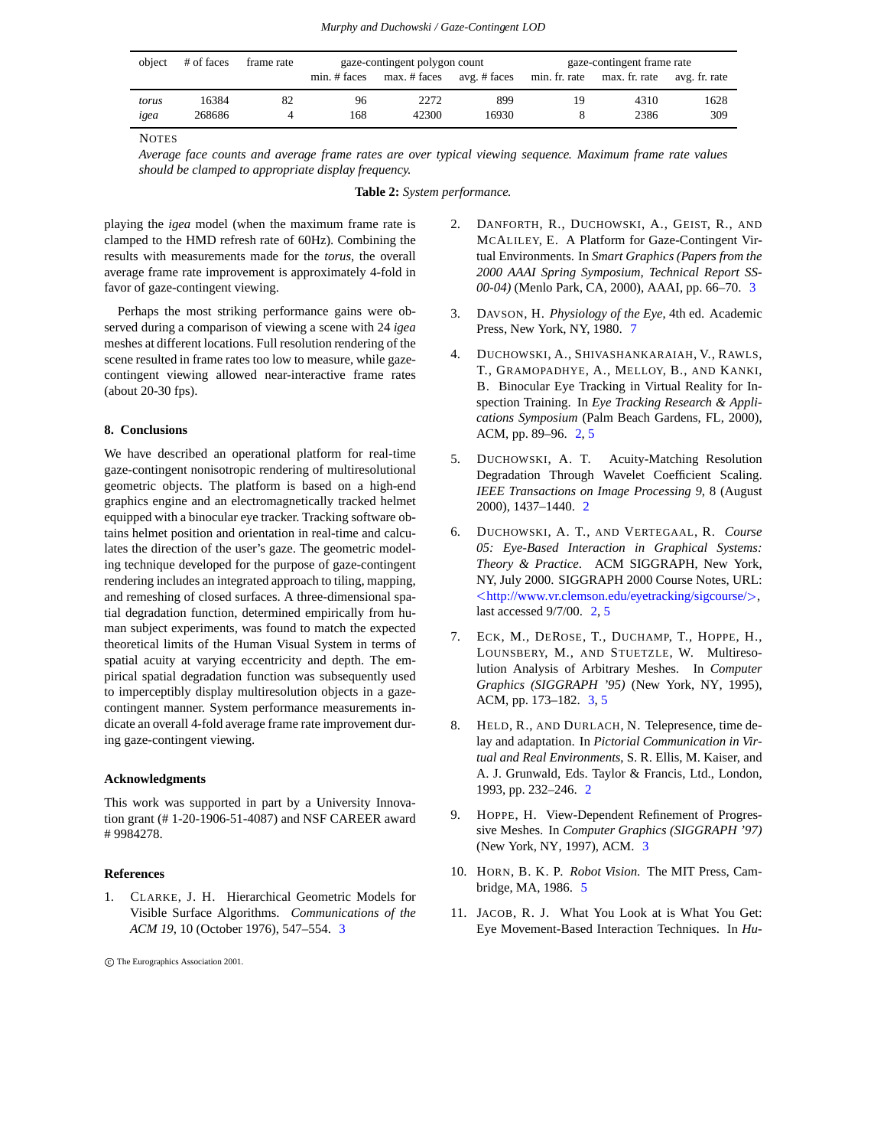| object        | # of faces      | frame rate | gaze-contingent polygon count |               |              | gaze-contingent frame rate |               |               |
|---------------|-----------------|------------|-------------------------------|---------------|--------------|----------------------------|---------------|---------------|
|               |                 |            | min. # faces                  | max. # faces  | avg. # faces | min. fr. rate              | max. fr. rate | avg. fr. rate |
| torus<br>igea | 16384<br>268686 | 82         | 96<br>168                     | 2272<br>42300 | 899<br>16930 | 19                         | 4310<br>2386  | 1628<br>309   |

**NOTES** 

*Average face counts and average frame rates are over typical viewing sequence. Maximum frame rate values should be clamped to appropriate display frequency.*

<span id="page-8-7"></span>**Table 2:** *System performance.*

playing the *igea* model (when the maximum frame rate is clamped to the HMD refresh rate of 60Hz). Combining the results with measurements made for the *torus*, the overall average frame rate improvement is approximately 4-fold in favor of gaze-contingent viewing.

Perhaps the most striking performance gains were observed during a comparison of viewing a scene with 24 *igea* meshes at different locations. Full resolution rendering of the scene resulted in frame rates too low to measure, while gazecontingent viewing allowed near-interactive frame rates (about 20-30 fps).

# <span id="page-8-5"></span>**8. Conclusions**

We have described an operational platform for real-time gaze-contingent nonisotropic rendering of multiresolutional geometric objects. The platform is based on a high-end graphics engine and an electromagnetically tracked helmet equipped with a binocular eye tracker. Tracking software obtains helmet position and orientation in real-time and calculates the direction of the user's gaze. The geometric modeling technique developed for the purpose of gaze-contingent rendering includes an integrated approach to tiling, mapping, and remeshing of closed surfaces. A three-dimensional spatial degradation function, determined empirically from human subject experiments, was found to match the expected theoretical limits of the Human Visual System in terms of spatial acuity at varying eccentricity and depth. The empirical spatial degradation function was subsequently used to imperceptibly display multiresolution objects in a gazecontingent manner. System performance measurements indicate an overall 4-fold average frame rate improvement during gaze-contingent viewing.

#### **Acknowledgments**

This work was supported in part by a University Innovation grant (# 1-20-1906-51-4087) and NSF CAREER award # 9984278.

#### <span id="page-8-9"></span>**References**

1. CLARKE, J. H. Hierarchical Geometric Models for Visible Surface Algorithms. *Communications of the ACM 19*, 10 (October 1976), 547–554. [3](#page-2-0)

c The Eurographics Association 2001.

- 2. DANFORTH, R., DUCHOWSKI, A., GEIST, R., AND MCALILEY, E. A Platform for Gaze-Contingent Virtual Environments. In *Smart Graphics (Papers from the 2000 AAAI Spring Symposium, Technical Report SS-00-04)* (Menlo Park, CA, 2000), AAAI, pp. 66–70. [3](#page-2-0)
- <span id="page-8-11"></span>3. DAVSON, H. *Physiology of the Eye*, 4th ed. Academic Press, New York, NY, 1980. [7](#page-6-3)
- <span id="page-8-3"></span>4. DUCHOWSKI, A., SHIVASHANKARAIAH, V., RAWLS, T., GRAMOPADHYE, A., MELLOY, B., AND KANKI, B. Binocular Eye Tracking in Virtual Reality for Inspection Training. In *Eye Tracking Research & Applications Symposium* (Palm Beach Gardens, FL, 2000), ACM, pp. 89–96. [2,](#page-1-2) [5](#page-4-3)
- <span id="page-8-0"></span>5. DUCHOWSKI, A. T. Acuity-Matching Resolution Degradation Through Wavelet Coefficient Scaling. *IEEE Transactions on Image Processing 9*, 8 (August 2000), 1437–1440. [2](#page-1-2)
- <span id="page-8-2"></span>6. DUCHOWSKI, A. T., AND VERTEGAAL, R. *Course 05: Eye-Based Interaction in Graphical Systems: Theory & Practice*. ACM SIGGRAPH, New York, NY, July 2000. SIGGRAPH 2000 Course Notes, URL: ) <http://www.vr.clemson.edu/eyetracking/sigcourse/>\* , last accessed 9/7/00. [2,](#page-1-2) [5](#page-4-3)
- <span id="page-8-6"></span>7. ECK, M., DEROSE, T., DUCHAMP, T., HOPPE, H., LOUNSBERY, M., AND STUETZLE, W. Multiresolution Analysis of Arbitrary Meshes. In *Computer Graphics (SIGGRAPH '95)* (New York, NY, 1995), ACM, pp. 173–182. [3,](#page-2-0) [5](#page-4-3)
- <span id="page-8-4"></span>8. HELD, R., AND DURLACH, N. Telepresence, time delay and adaptation. In *Pictorial Communication in Virtual and Real Environments*, S. R. Ellis, M. Kaiser, and A. J. Grunwald, Eds. Taylor & Francis, Ltd., London, 1993, pp. 232–246. [2](#page-1-2)
- <span id="page-8-8"></span>9. HOPPE, H. View-Dependent Refinement of Progressive Meshes. In *Computer Graphics (SIGGRAPH '97)* (New York, NY, 1997), ACM. [3](#page-2-0)
- <span id="page-8-10"></span>10. HORN, B. K. P. *Robot Vision*. The MIT Press, Cambridge, MA, 1986. [5](#page-4-3)
- <span id="page-8-1"></span>11. JACOB, R. J. What You Look at is What You Get: Eye Movement-Based Interaction Techniques. In *Hu-*